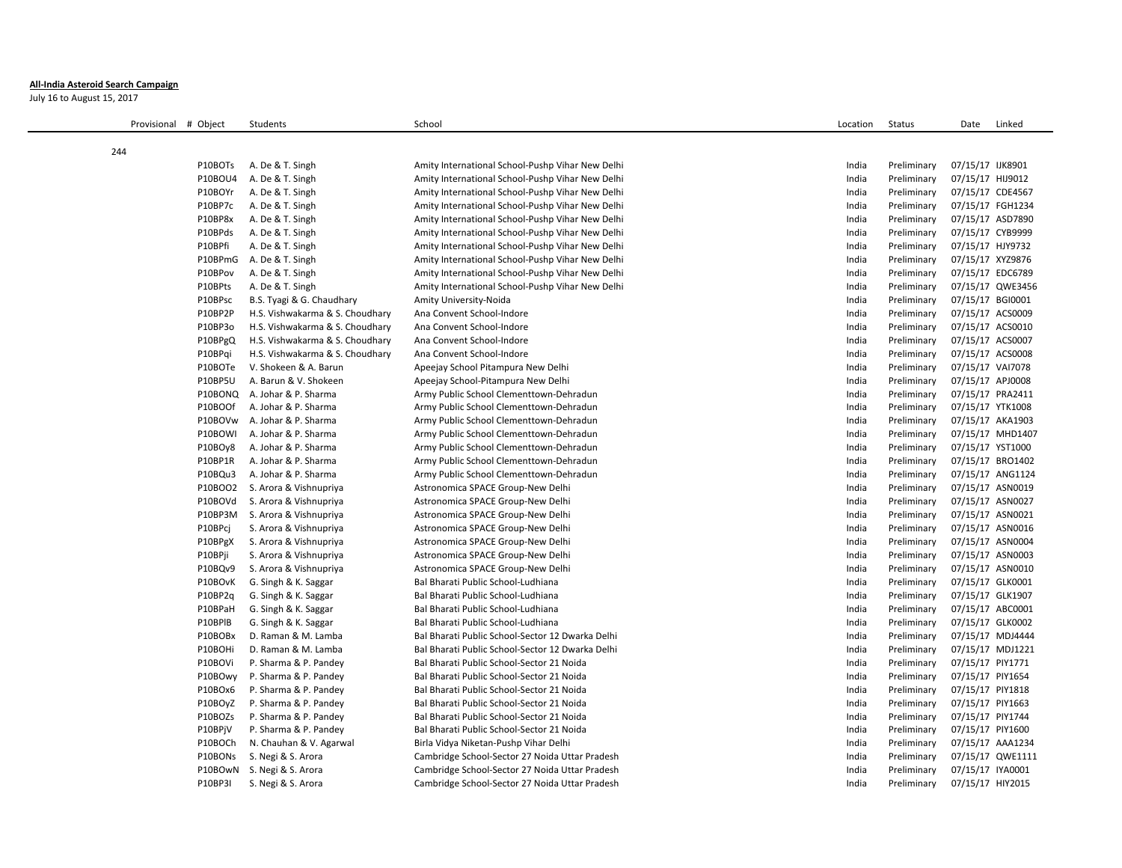## **All-India Asteroid Search Campaign**

July 16 to August 15, 2017

| Provisional # Object |         | Students                        | School                                           | Location | <b>Status</b> | Date             | Linked           |
|----------------------|---------|---------------------------------|--------------------------------------------------|----------|---------------|------------------|------------------|
| 244                  |         |                                 |                                                  |          |               |                  |                  |
|                      | P10BOTs | A. De & T. Singh                | Amity International School-Pushp Vihar New Delhi | India    | Preliminary   | 07/15/17 IJK8901 |                  |
|                      | P10BOU4 | A. De & T. Singh                | Amity International School-Pushp Vihar New Delhi | India    | Preliminary   | 07/15/17 HIJ9012 |                  |
|                      | P10BOYr | A. De & T. Singh                | Amity International School-Pushp Vihar New Delhi | India    | Preliminary   | 07/15/17 CDE4567 |                  |
|                      | P10BP7c | A. De & T. Singh                | Amity International School-Pushp Vihar New Delhi | India    | Preliminary   | 07/15/17 FGH1234 |                  |
|                      | P10BP8x | A. De & T. Singh                | Amity International School-Pushp Vihar New Delhi | India    | Preliminary   | 07/15/17 ASD7890 |                  |
|                      | P10BPds | A. De & T. Singh                | Amity International School-Pushp Vihar New Delhi | India    | Preliminary   | 07/15/17 CYB9999 |                  |
|                      | P10BPfi | A. De & T. Singh                | Amity International School-Pushp Vihar New Delhi | India    | Preliminary   | 07/15/17 HJY9732 |                  |
|                      | P10BPmG | A. De & T. Singh                | Amity International School-Pushp Vihar New Delhi | India    | Preliminary   | 07/15/17 XYZ9876 |                  |
|                      | P10BPov | A. De & T. Singh                | Amity International School-Pushp Vihar New Delhi | India    | Preliminary   | 07/15/17 EDC6789 |                  |
|                      | P10BPts | A. De & T. Singh                | Amity International School-Pushp Vihar New Delhi | India    | Preliminary   |                  | 07/15/17 QWE3456 |
|                      | P10BPsc | B.S. Tyagi & G. Chaudhary       | Amity University-Noida                           | India    | Preliminary   | 07/15/17 BGI0001 |                  |
|                      | P10BP2P | H.S. Vishwakarma & S. Choudhary | Ana Convent School-Indore                        | India    | Preliminary   | 07/15/17 ACS0009 |                  |
|                      | P10BP3o | H.S. Vishwakarma & S. Choudhary | Ana Convent School-Indore                        | India    | Preliminary   | 07/15/17 ACS0010 |                  |
|                      | P10BPgQ | H.S. Vishwakarma & S. Choudhary | Ana Convent School-Indore                        | India    | Preliminary   | 07/15/17 ACS0007 |                  |
|                      | P10BPqi | H.S. Vishwakarma & S. Choudhary | Ana Convent School-Indore                        | India    | Preliminary   | 07/15/17 ACS0008 |                  |
|                      | P10BOTe | V. Shokeen & A. Barun           | Apeejay School Pitampura New Delhi               | India    | Preliminary   | 07/15/17 VAI7078 |                  |
|                      | P10BP5U | A. Barun & V. Shokeen           | Apeejay School-Pitampura New Delhi               | India    | Preliminary   | 07/15/17 APJ0008 |                  |
|                      |         | P10BONQ A. Johar & P. Sharma    | Army Public School Clementtown-Dehradun          | India    | Preliminary   | 07/15/17 PRA2411 |                  |
|                      | P10BOOf | A. Johar & P. Sharma            | Army Public School Clementtown-Dehradun          | India    | Preliminary   | 07/15/17 YTK1008 |                  |
|                      | P10BOVw | A. Johar & P. Sharma            | Army Public School Clementtown-Dehradun          | India    | Preliminary   | 07/15/17 AKA1903 |                  |
|                      | P10BOWI | A. Johar & P. Sharma            | Army Public School Clementtown-Dehradun          | India    | Preliminary   |                  | 07/15/17 MHD1407 |
|                      | P10BOy8 | A. Johar & P. Sharma            | Army Public School Clementtown-Dehradun          | India    | Preliminary   | 07/15/17 YST1000 |                  |
|                      | P10BP1R | A. Johar & P. Sharma            | Army Public School Clementtown-Dehradun          | India    | Preliminary   | 07/15/17 BRO1402 |                  |
|                      | P10BQu3 | A. Johar & P. Sharma            | Army Public School Clementtown-Dehradun          | India    | Preliminary   | 07/15/17 ANG1124 |                  |
|                      | P10BOO2 | S. Arora & Vishnupriya          | Astronomica SPACE Group-New Delhi                | India    | Preliminary   | 07/15/17 ASN0019 |                  |
|                      | P10BOVd | S. Arora & Vishnupriya          | Astronomica SPACE Group-New Delhi                | India    | Preliminary   | 07/15/17 ASN0027 |                  |
|                      | P10BP3M | S. Arora & Vishnupriya          | Astronomica SPACE Group-New Delhi                | India    | Preliminary   | 07/15/17 ASN0021 |                  |
|                      | P10BPci | S. Arora & Vishnupriya          | Astronomica SPACE Group-New Delhi                | India    | Preliminary   | 07/15/17 ASN0016 |                  |
|                      | P10BPgX | S. Arora & Vishnupriya          | Astronomica SPACE Group-New Delhi                | India    | Preliminary   | 07/15/17 ASN0004 |                  |
|                      | P10BPji | S. Arora & Vishnupriya          | Astronomica SPACE Group-New Delhi                | India    | Preliminary   | 07/15/17 ASN0003 |                  |
|                      | P10BQv9 | S. Arora & Vishnupriya          | Astronomica SPACE Group-New Delhi                | India    | Preliminary   | 07/15/17 ASN0010 |                  |
|                      | P10BOvK | G. Singh & K. Saggar            | Bal Bharati Public School-Ludhiana               | India    | Preliminary   | 07/15/17 GLK0001 |                  |
|                      | P10BP2q | G. Singh & K. Saggar            | Bal Bharati Public School-Ludhiana               | India    | Preliminary   | 07/15/17 GLK1907 |                  |
|                      | P10BPaH | G. Singh & K. Saggar            | Bal Bharati Public School-Ludhiana               | India    | Preliminary   | 07/15/17 ABC0001 |                  |
|                      | P10BPIB | G. Singh & K. Saggar            | Bal Bharati Public School-Ludhiana               | India    | Preliminary   | 07/15/17 GLK0002 |                  |
|                      | P10BOBx | D. Raman & M. Lamba             | Bal Bharati Public School-Sector 12 Dwarka Delhi | India    | Preliminary   | 07/15/17 MDJ4444 |                  |
|                      | P10BOHi | D. Raman & M. Lamba             | Bal Bharati Public School-Sector 12 Dwarka Delhi | India    | Preliminary   | 07/15/17 MDJ1221 |                  |
|                      | P10BOVi | P. Sharma & P. Pandey           | Bal Bharati Public School-Sector 21 Noida        | India    | Preliminary   | 07/15/17 PIY1771 |                  |
|                      | P10BOwy | P. Sharma & P. Pandey           | Bal Bharati Public School-Sector 21 Noida        | India    | Preliminary   | 07/15/17 PIY1654 |                  |
|                      | P10BOx6 | P. Sharma & P. Pandey           | Bal Bharati Public School-Sector 21 Noida        | India    | Preliminary   | 07/15/17 PIY1818 |                  |
|                      | P10BOyZ | P. Sharma & P. Pandey           | Bal Bharati Public School-Sector 21 Noida        | India    | Preliminary   | 07/15/17 PIY1663 |                  |
|                      | P10BOZs | P. Sharma & P. Pandey           | Bal Bharati Public School-Sector 21 Noida        | India    | Preliminary   | 07/15/17 PIY1744 |                  |
|                      | P10BPjV | P. Sharma & P. Pandey           | Bal Bharati Public School-Sector 21 Noida        | India    | Preliminary   | 07/15/17 PIY1600 |                  |
|                      | P10BOCh | N. Chauhan & V. Agarwal         | Birla Vidya Niketan-Pushp Vihar Delhi            | India    | Preliminary   | 07/15/17 AAA1234 |                  |
|                      | P10BONs | S. Negi & S. Arora              | Cambridge School-Sector 27 Noida Uttar Pradesh   | India    | Preliminary   |                  | 07/15/17 QWE1111 |
|                      |         | P10BOwN S. Negi & S. Arora      | Cambridge School-Sector 27 Noida Uttar Pradesh   | India    | Preliminary   | 07/15/17 IYA0001 |                  |
|                      | P10BP3I | S. Negi & S. Arora              | Cambridge School-Sector 27 Noida Uttar Pradesh   | India    | Preliminary   | 07/15/17 HIY2015 |                  |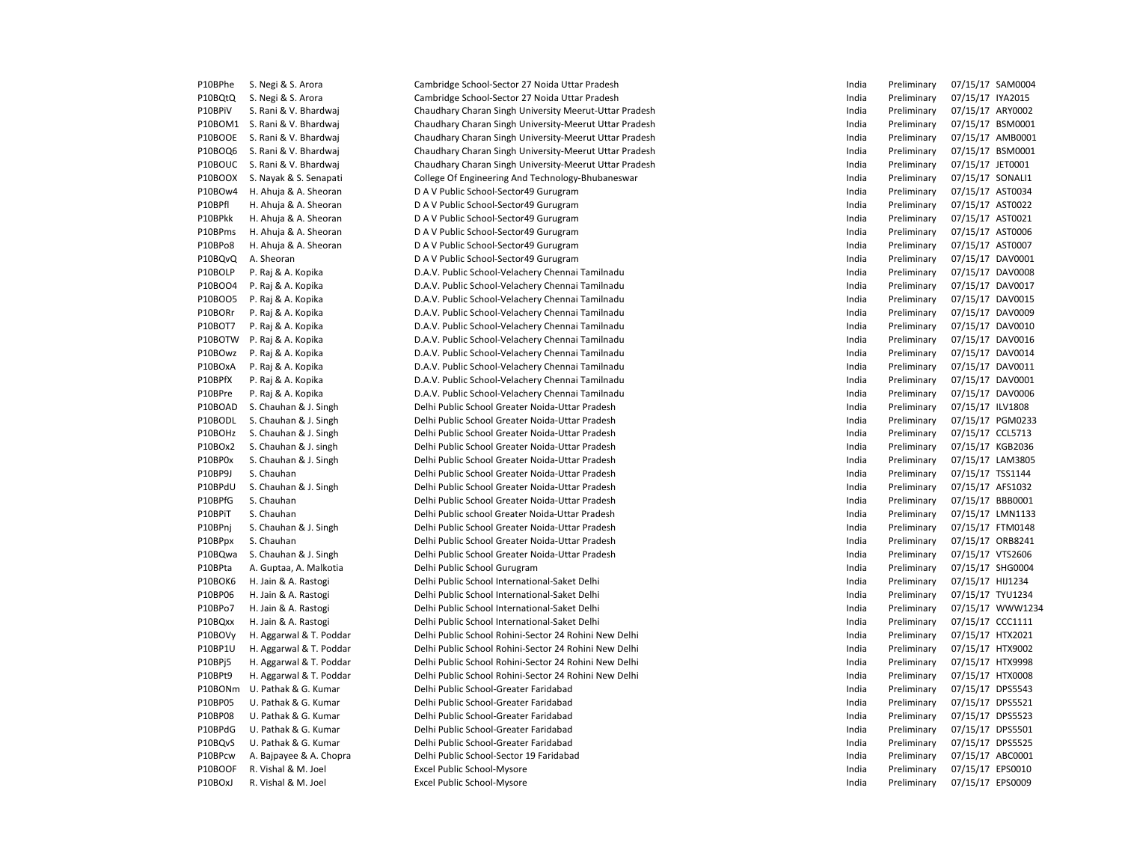| P10BPhe        | S. Negi & S. Arora            | Cambridge School-Sector 27 Noida Uttar Pradesh         | India | Preliminary | 07/15/17 SAM0004 |                  |
|----------------|-------------------------------|--------------------------------------------------------|-------|-------------|------------------|------------------|
| P10BQtQ        | S. Negi & S. Arora            | Cambridge School-Sector 27 Noida Uttar Pradesh         | India | Preliminary | 07/15/17 IYA2015 |                  |
| P10BPiV        | S. Rani & V. Bhardwaj         | Chaudhary Charan Singh University Meerut-Uttar Pradesh | India | Preliminary | 07/15/17 ARY0002 |                  |
|                | P10BOM1 S. Rani & V. Bhardwaj | Chaudhary Charan Singh University-Meerut Uttar Pradesh | India | Preliminary | 07/15/17 BSM0001 |                  |
| P10BOOE        | S. Rani & V. Bhardwaj         | Chaudhary Charan Singh University-Meerut Uttar Pradesh | India | Preliminary |                  | 07/15/17 AMB0001 |
| P10BOQ6        | S. Rani & V. Bhardwaj         | Chaudhary Charan Singh University-Meerut Uttar Pradesh | India | Preliminary | 07/15/17 BSM0001 |                  |
| P10BOUC        | S. Rani & V. Bhardwaj         | Chaudhary Charan Singh University-Meerut Uttar Pradesh | India | Preliminary | 07/15/17 JET0001 |                  |
| P10BOOX        | S. Nayak & S. Senapati        | College Of Engineering And Technology-Bhubaneswar      | India | Preliminary | 07/15/17 SONALI1 |                  |
| P10BOw4        | H. Ahuja & A. Sheoran         | D A V Public School-Sector49 Gurugram                  | India | Preliminary | 07/15/17 AST0034 |                  |
| P10BPfl        | H. Ahuja & A. Sheoran         | D A V Public School-Sector49 Gurugram                  | India | Preliminary | 07/15/17 AST0022 |                  |
| P10BPkk        | H. Ahuja & A. Sheoran         | D A V Public School-Sector49 Gurugram                  | India | Preliminary | 07/15/17 AST0021 |                  |
| P10BPms        | H. Ahuja & A. Sheoran         | D A V Public School-Sector49 Gurugram                  | India | Preliminary | 07/15/17 AST0006 |                  |
| P10BPo8        | H. Ahuja & A. Sheoran         | D A V Public School-Sector49 Gurugram                  | India | Preliminary | 07/15/17 AST0007 |                  |
| P10BQvQ        | A. Sheoran                    | D A V Public School-Sector49 Gurugram                  | India | Preliminary | 07/15/17 DAV0001 |                  |
| P10BOLP        | P. Raj & A. Kopika            | D.A.V. Public School-Velachery Chennai Tamilnadu       | India | Preliminary | 07/15/17 DAV0008 |                  |
| P10BOO4        | P. Raj & A. Kopika            | D.A.V. Public School-Velachery Chennai Tamilnadu       | India | Preliminary | 07/15/17 DAV0017 |                  |
| P10BOO5        | P. Raj & A. Kopika            | D.A.V. Public School-Velachery Chennai Tamilnadu       | India | Preliminary | 07/15/17 DAV0015 |                  |
| P10BORr        | P. Raj & A. Kopika            | D.A.V. Public School-Velachery Chennai Tamilnadu       | India | Preliminary | 07/15/17 DAV0009 |                  |
| P10BOT7        | P. Raj & A. Kopika            | D.A.V. Public School-Velachery Chennai Tamilnadu       | India | Preliminary | 07/15/17 DAV0010 |                  |
| P10BOTW        | P. Raj & A. Kopika            | D.A.V. Public School-Velachery Chennai Tamilnadu       | India | Preliminary | 07/15/17 DAV0016 |                  |
| P10BOwz        |                               |                                                        |       |             |                  |                  |
|                | P. Raj & A. Kopika            | D.A.V. Public School-Velachery Chennai Tamilnadu       | India | Preliminary | 07/15/17 DAV0014 |                  |
| P10BOxA        | P. Raj & A. Kopika            | D.A.V. Public School-Velachery Chennai Tamilnadu       | India | Preliminary | 07/15/17 DAV0011 |                  |
| P10BPfX        | P. Raj & A. Kopika            | D.A.V. Public School-Velachery Chennai Tamilnadu       | India | Preliminary | 07/15/17 DAV0001 |                  |
| P10BPre        | P. Raj & A. Kopika            | D.A.V. Public School-Velachery Chennai Tamilnadu       | India | Preliminary | 07/15/17 DAV0006 |                  |
| P10BOAD        | S. Chauhan & J. Singh         | Delhi Public School Greater Noida-Uttar Pradesh        | India | Preliminary | 07/15/17 ILV1808 |                  |
| P10BODL        | S. Chauhan & J. Singh         | Delhi Public School Greater Noida-Uttar Pradesh        | India | Preliminary |                  | 07/15/17 PGM0233 |
| P10BOHz        | S. Chauhan & J. Singh         | Delhi Public School Greater Noida-Uttar Pradesh        | India | Preliminary | 07/15/17 CCL5713 |                  |
| P10BOx2        | S. Chauhan & J. singh         | Delhi Public School Greater Noida-Uttar Pradesh        | India | Preliminary | 07/15/17 KGB2036 |                  |
| P10BP0x        | S. Chauhan & J. Singh         | Delhi Public School Greater Noida-Uttar Pradesh        | India | Preliminary | 07/15/17 LAM3805 |                  |
| P10BP9J        | S. Chauhan                    | Delhi Public School Greater Noida-Uttar Pradesh        | India | Preliminary | 07/15/17 TSS1144 |                  |
| P10BPdU        | S. Chauhan & J. Singh         | Delhi Public School Greater Noida-Uttar Pradesh        | India | Preliminary | 07/15/17 AFS1032 |                  |
| P10BPfG        | S. Chauhan                    | Delhi Public School Greater Noida-Uttar Pradesh        | India | Preliminary | 07/15/17 BBB0001 |                  |
| P10BPiT        | S. Chauhan                    | Delhi Public school Greater Noida-Uttar Pradesh        | India | Preliminary | 07/15/17 LMN1133 |                  |
| P10BPnj        | S. Chauhan & J. Singh         | Delhi Public School Greater Noida-Uttar Pradesh        | India | Preliminary | 07/15/17 FTM0148 |                  |
| P10BPpx        | S. Chauhan                    | Delhi Public School Greater Noida-Uttar Pradesh        | India | Preliminary | 07/15/17 ORB8241 |                  |
| P10BQwa        | S. Chauhan & J. Singh         | Delhi Public School Greater Noida-Uttar Pradesh        | India | Preliminary | 07/15/17 VTS2606 |                  |
| P10BPta        | A. Guptaa, A. Malkotia        | Delhi Public School Gurugram                           | India | Preliminary | 07/15/17 SHG0004 |                  |
| P10BOK6        | H. Jain & A. Rastogi          | Delhi Public School International-Saket Delhi          | India | Preliminary | 07/15/17 HIJ1234 |                  |
| P10BP06        | H. Jain & A. Rastogi          | Delhi Public School International-Saket Delhi          | India | Preliminary | 07/15/17 TYU1234 |                  |
| P10BPo7        | H. Jain & A. Rastogi          | Delhi Public School International-Saket Delhi          | India | Preliminary |                  | 07/15/17 WWW1234 |
| P10BQxx        | H. Jain & A. Rastogi          | Delhi Public School International-Saket Delhi          | India | Preliminary | 07/15/17 CCC1111 |                  |
| P10BOVy        | H. Aggarwal & T. Poddar       | Delhi Public School Rohini-Sector 24 Rohini New Delhi  | India | Preliminary | 07/15/17 HTX2021 |                  |
| <b>P10BP1U</b> | H. Aggarwal & T. Poddar       | Delhi Public School Rohini-Sector 24 Rohini New Delhi  | India | Preliminary | 07/15/17 HTX9002 |                  |
| P10BPj5        | H. Aggarwal & T. Poddar       | Delhi Public School Rohini-Sector 24 Rohini New Delhi  | India | Preliminary | 07/15/17 HTX9998 |                  |
| P10BPt9        | H. Aggarwal & T. Poddar       | Delhi Public School Rohini-Sector 24 Rohini New Delhi  | India | Preliminary | 07/15/17 HTX0008 |                  |
| P10BONm        | U. Pathak & G. Kumar          | Delhi Public School-Greater Faridabad                  | India | Preliminary | 07/15/17 DPS5543 |                  |
| P10BP05        | U. Pathak & G. Kumar          | Delhi Public School-Greater Faridabad                  | India | Preliminary | 07/15/17 DPS5521 |                  |
| P10BP08        | U. Pathak & G. Kumar          | Delhi Public School-Greater Faridabad                  | India | Preliminary | 07/15/17 DPS5523 |                  |
| P10BPdG        | U. Pathak & G. Kumar          | Delhi Public School-Greater Faridabad                  | India | Preliminary | 07/15/17 DPS5501 |                  |
| P10BQvS        | U. Pathak & G. Kumar          | Delhi Public School-Greater Faridabad                  | India | Preliminary | 07/15/17 DPS5525 |                  |
| P10BPcw        | A. Bajpayee & A. Chopra       | Delhi Public School-Sector 19 Faridabad                | India | Preliminary | 07/15/17 ABC0001 |                  |
| P10BOOF        | R. Vishal & M. Joel           | Excel Public School-Mysore                             | India | Preliminary | 07/15/17 EPS0010 |                  |
| P10BOxJ        | R. Vishal & M. Joel           | Excel Public School-Mysore                             | India | Preliminary | 07/15/17 EPS0009 |                  |
|                |                               |                                                        |       |             |                  |                  |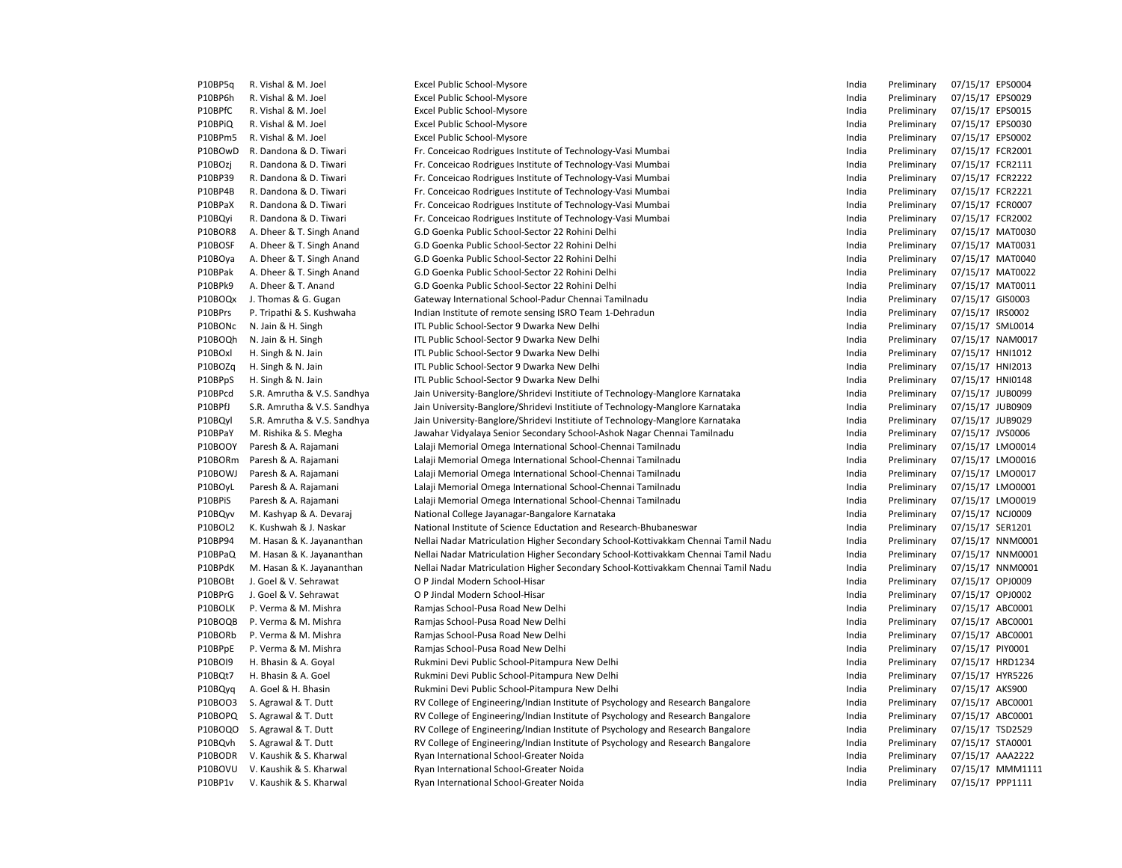| P10BP5q | R. Vishal & M. Joel         | Excel Public School-Mysore                                                        | India | Preliminary | 07/15/17 EPS0004 |  |
|---------|-----------------------------|-----------------------------------------------------------------------------------|-------|-------------|------------------|--|
| P10BP6h | R. Vishal & M. Joel         | Excel Public School-Mysore                                                        | India | Preliminary | 07/15/17 EPS0029 |  |
| P10BPfC | R. Vishal & M. Joel         | Excel Public School-Mysore                                                        | India | Preliminary | 07/15/17 EPS0015 |  |
| P10BPiQ | R. Vishal & M. Joel         | Excel Public School-Mysore                                                        | India | Preliminary | 07/15/17 EPS0030 |  |
| P10BPm5 | R. Vishal & M. Joel         | Excel Public School-Mysore                                                        | India | Preliminary | 07/15/17 EPS0002 |  |
| P10BOwD | R. Dandona & D. Tiwari      | Fr. Conceicao Rodrigues Institute of Technology-Vasi Mumbai                       | India | Preliminary | 07/15/17 FCR2001 |  |
| P10BOzj | R. Dandona & D. Tiwari      | Fr. Conceicao Rodrigues Institute of Technology-Vasi Mumbai                       | India | Preliminary | 07/15/17 FCR2111 |  |
| P10BP39 | R. Dandona & D. Tiwari      | Fr. Conceicao Rodrigues Institute of Technology-Vasi Mumbai                       | India | Preliminary | 07/15/17 FCR2222 |  |
| P10BP4B | R. Dandona & D. Tiwari      | Fr. Conceicao Rodrigues Institute of Technology-Vasi Mumbai                       | India | Preliminary | 07/15/17 FCR2221 |  |
| P10BPaX | R. Dandona & D. Tiwari      | Fr. Conceicao Rodrigues Institute of Technology-Vasi Mumbai                       | India | Preliminary | 07/15/17 FCR0007 |  |
| P10BQyi | R. Dandona & D. Tiwari      | Fr. Conceicao Rodrigues Institute of Technology-Vasi Mumbai                       | India | Preliminary | 07/15/17 FCR2002 |  |
| P10BOR8 | A. Dheer & T. Singh Anand   | G.D Goenka Public School-Sector 22 Rohini Delhi                                   | India | Preliminary | 07/15/17 MAT0030 |  |
| P10BOSF | A. Dheer & T. Singh Anand   | G.D Goenka Public School-Sector 22 Rohini Delhi                                   | India | Preliminary | 07/15/17 MAT0031 |  |
| P10BOya | A. Dheer & T. Singh Anand   | G.D Goenka Public School-Sector 22 Rohini Delhi                                   | India | Preliminary | 07/15/17 MAT0040 |  |
| P10BPak | A. Dheer & T. Singh Anand   | G.D Goenka Public School-Sector 22 Rohini Delhi                                   | India | Preliminary | 07/15/17 MAT0022 |  |
| P10BPk9 | A. Dheer & T. Anand         | G.D Goenka Public School-Sector 22 Rohini Delhi                                   | India | Preliminary | 07/15/17 MAT0011 |  |
| P10BOQx | J. Thomas & G. Gugan        | Gateway International School-Padur Chennai Tamilnadu                              | India | Preliminary | 07/15/17 GIS0003 |  |
| P10BPrs | P. Tripathi & S. Kushwaha   | Indian Institute of remote sensing ISRO Team 1-Dehradun                           | India | Preliminary | 07/15/17 IRS0002 |  |
| P10BONC | N. Jain & H. Singh          | ITL Public School-Sector 9 Dwarka New Delhi                                       | India | Preliminary | 07/15/17 SML0014 |  |
| P10BOQh | N. Jain & H. Singh          | ITL Public School-Sector 9 Dwarka New Delhi                                       | India | Preliminary | 07/15/17 NAM0017 |  |
| P10BOxl | H. Singh & N. Jain          | ITL Public School-Sector 9 Dwarka New Delhi                                       | India | Preliminary | 07/15/17 HNI1012 |  |
| P10BOZq | H. Singh & N. Jain          | ITL Public School-Sector 9 Dwarka New Delhi                                       | India | Preliminary | 07/15/17 HNI2013 |  |
| P10BPpS | H. Singh & N. Jain          | ITL Public School-Sector 9 Dwarka New Delhi                                       | India | Preliminary | 07/15/17 HNI0148 |  |
| P10BPcd | S.R. Amrutha & V.S. Sandhya | Jain University-Banglore/Shridevi Institiute of Technology-Manglore Karnataka     | India | Preliminary | 07/15/17 JUB0099 |  |
| P10BPfJ | S.R. Amrutha & V.S. Sandhya | Jain University-Banglore/Shridevi Institiute of Technology-Manglore Karnataka     | India | Preliminary | 07/15/17 JUB0909 |  |
| P10BQyl | S.R. Amrutha & V.S. Sandhya | Jain University-Banglore/Shridevi Institiute of Technology-Manglore Karnataka     | India | Preliminary | 07/15/17 JUB9029 |  |
| P10BPaY | M. Rishika & S. Megha       | Jawahar Vidyalaya Senior Secondary School-Ashok Nagar Chennai Tamilnadu           | India | Preliminary | 07/15/17 JVS0006 |  |
| P10BOOY | Paresh & A. Rajamani        | Lalaji Memorial Omega International School-Chennai Tamilnadu                      | India | Preliminary | 07/15/17 LMO0014 |  |
| P10BORm | Paresh & A. Rajamani        | Lalaji Memorial Omega International School-Chennai Tamilnadu                      | India | Preliminary | 07/15/17 LMO0016 |  |
| P10BOWJ | Paresh & A. Rajamani        | Lalaji Memorial Omega International School-Chennai Tamilnadu                      | India | Preliminary | 07/15/17 LMO0017 |  |
| P10BOyL | Paresh & A. Rajamani        | Lalaji Memorial Omega International School-Chennai Tamilnadu                      | India | Preliminary | 07/15/17 LMO0001 |  |
| P10BPiS | Paresh & A. Rajamani        | Lalaji Memorial Omega International School-Chennai Tamilnadu                      | India | Preliminary | 07/15/17 LMO0019 |  |
| P10BQyv | M. Kashyap & A. Devaraj     | National College Jayanagar-Bangalore Karnataka                                    | India | Preliminary | 07/15/17 NCJ0009 |  |
| P10BOL2 | K. Kushwah & J. Naskar      | National Institute of Science Eductation and Research-Bhubaneswar                 | India | Preliminary | 07/15/17 SER1201 |  |
| P10BP94 | M. Hasan & K. Jayananthan   | Nellai Nadar Matriculation Higher Secondary School-Kottivakkam Chennai Tamil Nadu | India | Preliminary | 07/15/17 NNM0001 |  |
| P10BPaQ | M. Hasan & K. Jayananthan   | Nellai Nadar Matriculation Higher Secondary School-Kottivakkam Chennai Tamil Nadu | India | Preliminary | 07/15/17 NNM0001 |  |
| P10BPdK | M. Hasan & K. Jayananthan   | Nellai Nadar Matriculation Higher Secondary School-Kottivakkam Chennai Tamil Nadu | India | Preliminary | 07/15/17 NNM0001 |  |
| P10BOBt | J. Goel & V. Sehrawat       | O P Jindal Modern School-Hisar                                                    | India | Preliminary | 07/15/17 OPJ0009 |  |
| P10BPrG | J. Goel & V. Sehrawat       | O P Jindal Modern School-Hisar                                                    | India | Preliminary | 07/15/17 OPJ0002 |  |
| P10BOLK | P. Verma & M. Mishra        | Ramjas School-Pusa Road New Delhi                                                 | India | Preliminary | 07/15/17 ABC0001 |  |
| P10BOQB | P. Verma & M. Mishra        | Ramjas School-Pusa Road New Delhi                                                 | India | Preliminary | 07/15/17 ABC0001 |  |
| P10BORb | P. Verma & M. Mishra        | Ramjas School-Pusa Road New Delhi                                                 | India | Preliminary | 07/15/17 ABC0001 |  |
| P10BPpE | P. Verma & M. Mishra        | Ramjas School-Pusa Road New Delhi                                                 | India | Preliminary | 07/15/17 PIY0001 |  |
| P10BOI9 | H. Bhasin & A. Goyal        | Rukmini Devi Public School-Pitampura New Delhi                                    | India | Preliminary | 07/15/17 HRD1234 |  |
| P10BQt7 | H. Bhasin & A. Goel         | Rukmini Devi Public School-Pitampura New Delhi                                    | India | Preliminary | 07/15/17 HYR5226 |  |
|         |                             |                                                                                   |       |             | 07/15/17 AKS900  |  |
| P10BQyq | A. Goel & H. Bhasin         | Rukmini Devi Public School-Pitampura New Delhi                                    | India | Preliminary |                  |  |
| P10BOO3 | S. Agrawal & T. Dutt        | RV College of Engineering/Indian Institute of Psychology and Research Bangalore   | India | Preliminary | 07/15/17 ABC0001 |  |
| P10BOPQ | S. Agrawal & T. Dutt        | RV College of Engineering/Indian Institute of Psychology and Research Bangalore   | India | Preliminary | 07/15/17 ABC0001 |  |
| P10BOQO | S. Agrawal & T. Dutt        | RV College of Engineering/Indian Institute of Psychology and Research Bangalore   | India | Preliminary | 07/15/17 TSD2529 |  |
| P10BQvh | S. Agrawal & T. Dutt        | RV College of Engineering/Indian Institute of Psychology and Research Bangalore   | India | Preliminary | 07/15/17 STA0001 |  |
| P10BODR | V. Kaushik & S. Kharwal     | Ryan International School-Greater Noida                                           | India | Preliminary | 07/15/17 AAA2222 |  |
| P10BOVU | V. Kaushik & S. Kharwal     | Ryan International School-Greater Noida                                           | India | Preliminary | 07/15/17 MMM1111 |  |
| P10BP1v | V. Kaushik & S. Kharwal     | Ryan International School-Greater Noida                                           | India | Preliminary | 07/15/17 PPP1111 |  |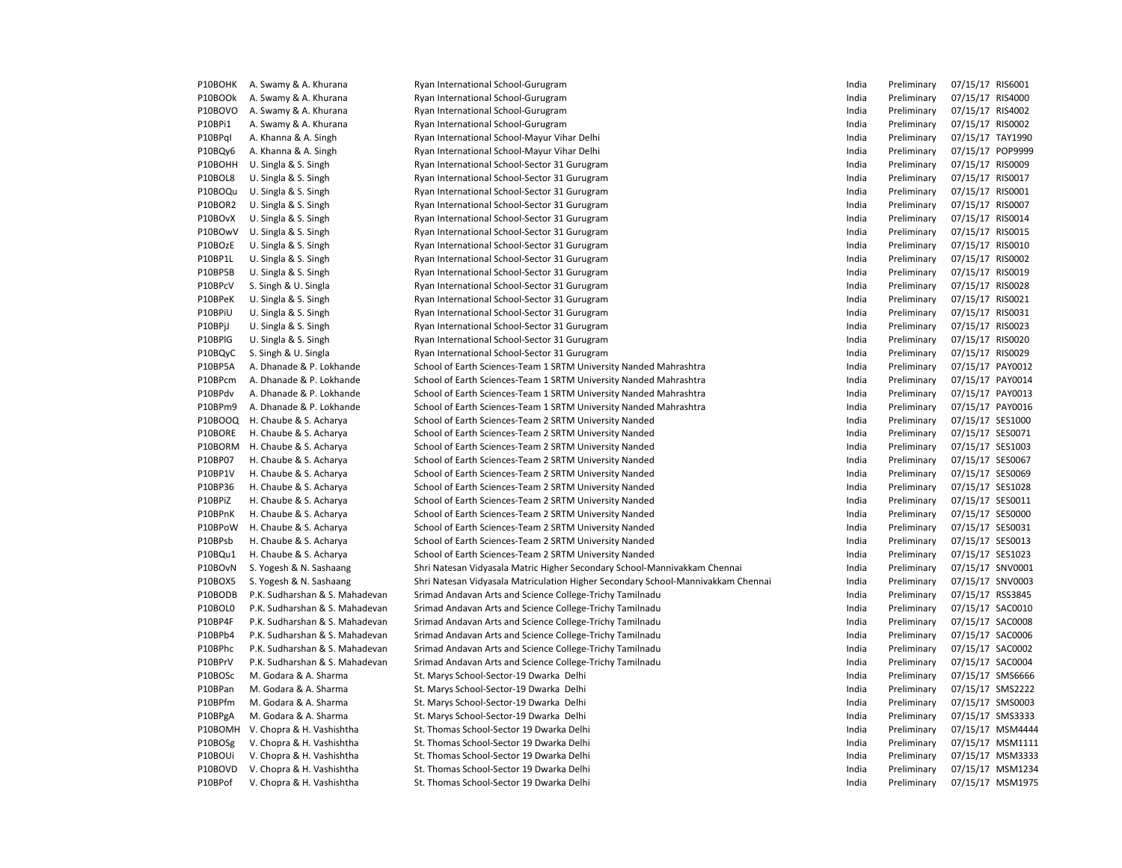| P10BOHK | A. Swamy & A. Khurana          | Ryan International School-Gurugram                                               | India | Preliminary | 07/15/17 RIS6001 |
|---------|--------------------------------|----------------------------------------------------------------------------------|-------|-------------|------------------|
| P10BOOk | A. Swamy & A. Khurana          | Ryan International School-Gurugram                                               | India | Preliminary | 07/15/17 RIS4000 |
| P10BOVO | A. Swamy & A. Khurana          | Ryan International School-Gurugram                                               | India | Preliminary | 07/15/17 RIS4002 |
| P10BPi1 | A. Swamy & A. Khurana          | Ryan International School-Gurugram                                               | India | Preliminary | 07/15/17 RISO002 |
| P10BPql | A. Khanna & A. Singh           | Ryan International School-Mayur Vihar Delhi                                      | India | Preliminary | 07/15/17 TAY1990 |
| P10BQy6 | A. Khanna & A. Singh           | Ryan International School-Mayur Vihar Delhi                                      | India | Preliminary | 07/15/17 POP9999 |
| P10BOHH | U. Singla & S. Singh           | Ryan International School-Sector 31 Gurugram                                     | India | Preliminary | 07/15/17 RIS0009 |
| P10BOL8 | U. Singla & S. Singh           | Ryan International School-Sector 31 Gurugram                                     | India | Preliminary | 07/15/17 RIS0017 |
| P10BOQu | U. Singla & S. Singh           | Ryan International School-Sector 31 Gurugram                                     | India | Preliminary | 07/15/17 RIS0001 |
| P10BOR2 | U. Singla & S. Singh           | Ryan International School-Sector 31 Gurugram                                     | India | Preliminary | 07/15/17 RIS0007 |
| P10BOvX | U. Singla & S. Singh           | Ryan International School-Sector 31 Gurugram                                     | India | Preliminary | 07/15/17 RIS0014 |
| P10BOwV | U. Singla & S. Singh           | Ryan International School-Sector 31 Gurugram                                     | India | Preliminary | 07/15/17 RIS0015 |
| P10BOzE | U. Singla & S. Singh           | Ryan International School-Sector 31 Gurugram                                     | India | Preliminary | 07/15/17 RIS0010 |
| P10BP1L | U. Singla & S. Singh           | Ryan International School-Sector 31 Gurugram                                     | India | Preliminary | 07/15/17 RIS0002 |
| P10BP5B | U. Singla & S. Singh           | Ryan International School-Sector 31 Gurugram                                     | India | Preliminary | 07/15/17 RIS0019 |
| P10BPcV | S. Singh & U. Singla           | Ryan International School-Sector 31 Gurugram                                     | India | Preliminary | 07/15/17 RIS0028 |
| P10BPeK | U. Singla & S. Singh           | Ryan International School-Sector 31 Gurugram                                     | India | Preliminary | 07/15/17 RIS0021 |
| P10BPiU | U. Singla & S. Singh           | Ryan International School-Sector 31 Gurugram                                     | India | Preliminary | 07/15/17 RIS0031 |
| P10BPjJ | U. Singla & S. Singh           | Ryan International School-Sector 31 Gurugram                                     | India | Preliminary | 07/15/17 RIS0023 |
| P10BPIG | U. Singla & S. Singh           | Ryan International School-Sector 31 Gurugram                                     | India | Preliminary | 07/15/17 RIS0020 |
| P10BQyC | S. Singh & U. Singla           | Ryan International School-Sector 31 Gurugram                                     | India | Preliminary | 07/15/17 RIS0029 |
| P10BP5A | A. Dhanade & P. Lokhande       | School of Earth Sciences-Team 1 SRTM University Nanded Mahrashtra                | India | Preliminary | 07/15/17 PAY0012 |
| P10BPcm | A. Dhanade & P. Lokhande       | School of Earth Sciences-Team 1 SRTM University Nanded Mahrashtra                | India | Preliminary | 07/15/17 PAY0014 |
| P10BPdv | A. Dhanade & P. Lokhande       | School of Earth Sciences-Team 1 SRTM University Nanded Mahrashtra                | India | Preliminary | 07/15/17 PAY0013 |
| P10BPm9 | A. Dhanade & P. Lokhande       | School of Earth Sciences-Team 1 SRTM University Nanded Mahrashtra                | India | Preliminary | 07/15/17 PAY0016 |
| P10BOOQ | H. Chaube & S. Acharya         | School of Earth Sciences-Team 2 SRTM University Nanded                           | India | Preliminary | 07/15/17 SES1000 |
| P10BORE | H. Chaube & S. Acharya         | School of Earth Sciences-Team 2 SRTM University Nanded                           | India | Preliminary | 07/15/17 SES0071 |
| P10BORM | H. Chaube & S. Acharya         | School of Earth Sciences-Team 2 SRTM University Nanded                           | India | Preliminary | 07/15/17 SES1003 |
| P10BP07 | H. Chaube & S. Acharya         | School of Earth Sciences-Team 2 SRTM University Nanded                           | India | Preliminary | 07/15/17 SES0067 |
| P10BP1V | H. Chaube & S. Acharya         | School of Earth Sciences-Team 2 SRTM University Nanded                           | India | Preliminary | 07/15/17 SES0069 |
| P10BP36 | H. Chaube & S. Acharya         | School of Earth Sciences-Team 2 SRTM University Nanded                           | India | Preliminary | 07/15/17 SES1028 |
| P10BPiZ | H. Chaube & S. Acharya         | School of Earth Sciences-Team 2 SRTM University Nanded                           | India | Preliminary | 07/15/17 SES0011 |
| P10BPnK | H. Chaube & S. Acharya         | School of Earth Sciences-Team 2 SRTM University Nanded                           | India | Preliminary | 07/15/17 SES0000 |
| P10BPoW | H. Chaube & S. Acharya         | School of Earth Sciences-Team 2 SRTM University Nanded                           | India | Preliminary | 07/15/17 SES0031 |
| P10BPsb | H. Chaube & S. Acharya         | School of Earth Sciences-Team 2 SRTM University Nanded                           | India | Preliminary | 07/15/17 SES0013 |
| P10BQu1 | H. Chaube & S. Acharya         | School of Earth Sciences-Team 2 SRTM University Nanded                           | India | Preliminary | 07/15/17 SES1023 |
| P10BOvN | S. Yogesh & N. Sashaang        | Shri Natesan Vidyasala Matric Higher Secondary School-Mannivakkam Chennai        | India | Preliminary | 07/15/17 SNV0001 |
| P10BOX5 | S. Yogesh & N. Sashaang        | Shri Natesan Vidyasala Matriculation Higher Secondary School-Mannivakkam Chennai | India | Preliminary | 07/15/17 SNV0003 |
| P10BODB | P.K. Sudharshan & S. Mahadevan | Srimad Andavan Arts and Science College-Trichy Tamilnadu                         | India | Preliminary | 07/15/17 RSS3845 |
| P10BOL0 | P.K. Sudharshan & S. Mahadevan | Srimad Andavan Arts and Science College-Trichy Tamilnadu                         | India | Preliminary | 07/15/17 SAC0010 |
| P10BP4F | P.K. Sudharshan & S. Mahadevan | Srimad Andavan Arts and Science College-Trichy Tamilnadu                         | India | Preliminary | 07/15/17 SAC0008 |
| P10BPb4 | P.K. Sudharshan & S. Mahadevan | Srimad Andavan Arts and Science College-Trichy Tamilnadu                         | India | Preliminary | 07/15/17 SAC0006 |
| P10BPhc | P.K. Sudharshan & S. Mahadevan | Srimad Andavan Arts and Science College-Trichy Tamilnadu                         | India | Preliminary | 07/15/17 SAC0002 |
| P10BPrV | P.K. Sudharshan & S. Mahadevan | Srimad Andavan Arts and Science College-Trichy Tamilnadu                         | India | Preliminary | 07/15/17 SAC0004 |
| P10BOSc | M. Godara & A. Sharma          | St. Marys School-Sector-19 Dwarka Delhi                                          | India | Preliminary | 07/15/17 SMS6666 |
| P10BPan | M. Godara & A. Sharma          | St. Marys School-Sector-19 Dwarka Delhi                                          | India | Preliminary | 07/15/17 SMS2222 |
| P10BPfm | M. Godara & A. Sharma          | St. Marys School-Sector-19 Dwarka Delhi                                          | India | Preliminary | 07/15/17 SMS0003 |
| P10BPgA | M. Godara & A. Sharma          | St. Marys School-Sector-19 Dwarka Delhi                                          | India | Preliminary | 07/15/17 SMS3333 |
| P10BOMH | V. Chopra & H. Vashishtha      | St. Thomas School-Sector 19 Dwarka Delhi                                         | India | Preliminary | 07/15/17 MSM4444 |
| P10BOSg | V. Chopra & H. Vashishtha      | St. Thomas School-Sector 19 Dwarka Delhi                                         | India | Preliminary | 07/15/17 MSM1111 |
| P10BOUi | V. Chopra & H. Vashishtha      | St. Thomas School-Sector 19 Dwarka Delhi                                         | India | Preliminary | 07/15/17 MSM3333 |
| P10BOVD | V. Chopra & H. Vashishtha      | St. Thomas School-Sector 19 Dwarka Delhi                                         | India | Preliminary | 07/15/17 MSM1234 |
| P10BPof | V. Chopra & H. Vashishtha      | St. Thomas School-Sector 19 Dwarka Delhi                                         | India | Preliminary | 07/15/17 MSM1975 |
|         |                                |                                                                                  |       |             |                  |